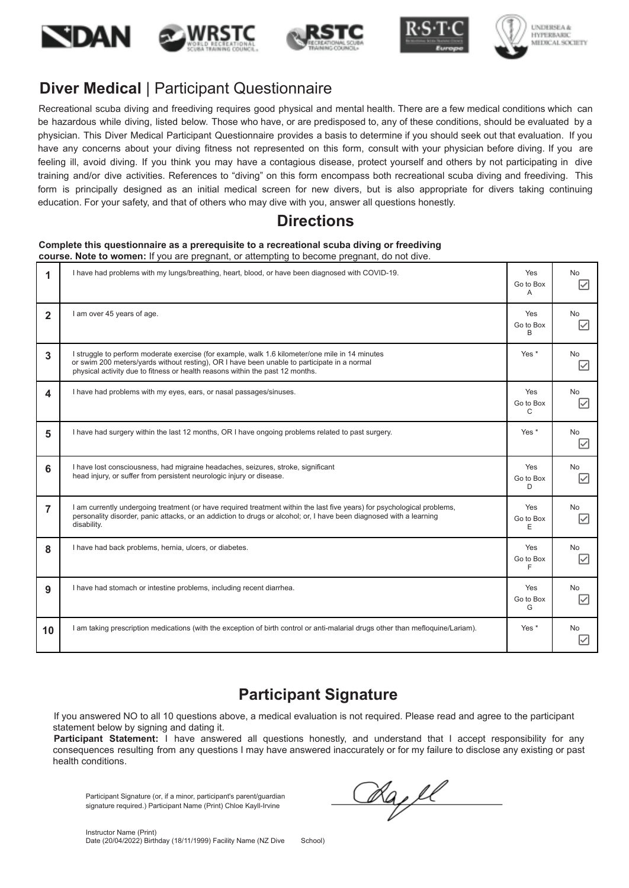







# **Diver Medical** | Participant Questionnaire

Recreational scuba diving and freediving requires good physical and mental health. There are a few medical conditions which can be hazardous while diving, listed below. Those who have, or are predisposed to, any of these conditions, should be evaluated by a physician. This Diver Medical Participant Questionnaire provides a basis to determine if you should seek out that evaluation. If you have any concerns about your diving fitness not represented on this form, consult with your physician before diving. If you are feeling ill, avoid diving. If you think you may have a contagious disease, protect yourself and others by not participating in dive training and/or dive activities. References to "diving" on this form encompass both recreational scuba diving and freediving. This form is principally designed as an initial medical screen for new divers, but is also appropriate for divers taking continuing education. For your safety, and that of others who may dive with you, answer all questions honestly.

#### **Directions**

#### **Complete this questionnaire as a prerequisite to a recreational scuba diving or freediving course. Note to women:** If you are pregnant, or attempting to become pregnant, do not dive.

| 1               | I have had problems with my lungs/breathing, heart, blood, or have been diagnosed with COVID-19.                                                                                                                                                                                | Yes<br>Go to Box<br>A            | No.<br> ✓                            |
|-----------------|---------------------------------------------------------------------------------------------------------------------------------------------------------------------------------------------------------------------------------------------------------------------------------|----------------------------------|--------------------------------------|
| $\overline{2}$  | I am over 45 years of age.                                                                                                                                                                                                                                                      | Yes<br>Go to Box<br>B            | No.<br>$\overline{\smile}$           |
| 3               | I struggle to perform moderate exercise (for example, walk 1.6 kilometer/one mile in 14 minutes<br>or swim 200 meters/yards without resting), OR I have been unable to participate in a normal<br>physical activity due to fitness or health reasons within the past 12 months. | Yes <sup>*</sup>                 | <b>No</b><br>$\overline{\smile}$     |
| 4               | I have had problems with my eyes, ears, or nasal passages/sinuses.                                                                                                                                                                                                              | Yes<br>Go to Box<br>$\mathsf{C}$ | <b>No</b><br>$\overline{\checkmark}$ |
| 5               | I have had surgery within the last 12 months, OR I have ongoing problems related to past surgery.                                                                                                                                                                               | Yes *                            | No.<br>$\overline{\checkmark}$       |
| 6               | I have lost consciousness, had migraine headaches, seizures, stroke, significant<br>head injury, or suffer from persistent neurologic injury or disease.                                                                                                                        | Yes<br>Go to Box<br>D            | <b>No</b><br>$\overline{\smile}$     |
| 7               | I am currently undergoing treatment (or have required treatment within the last five years) for psychological problems,<br>personality disorder, panic attacks, or an addiction to drugs or alcohol; or, I have been diagnosed with a learning<br>disability.                   | Yes<br>Go to Box<br>E            | <b>No</b><br>⋈                       |
| 8               | I have had back problems, hernia, ulcers, or diabetes.                                                                                                                                                                                                                          | Yes<br>Go to Box<br>F            | <b>No</b><br>$\overline{\smile}$     |
| 9               | I have had stomach or intestine problems, including recent diarrhea.                                                                                                                                                                                                            | Yes<br>Go to Box<br>G            | No.<br>$\overline{\checkmark}$       |
| 10 <sup>1</sup> | I am taking prescription medications (with the exception of birth control or anti-malarial drugs other than mefloquine/Lariam).                                                                                                                                                 | Yes *                            | <b>No</b><br>∨                       |

## **Participant Signature**

If you answered NO to all 10 questions above, a medical evaluation is not required. Please read and agree to the participant statement below by signing and dating it.

Participant Statement: I have answered all questions honestly, and understand that I accept responsibility for any consequences resulting from any questions I may have answered inaccurately or for my failure to disclose any existing or past health conditions.

Participant Signature (or, if a minor, participant's parent/guardian signature required.) Participant Name (Print) Chloe Kayll-Irvine

Rapl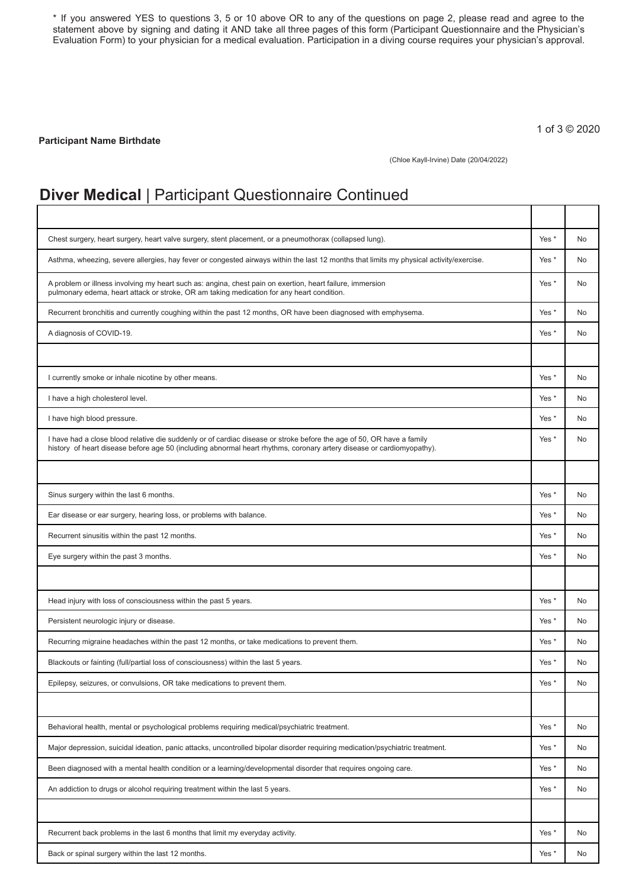\* If you answered YES to questions 3, 5 or 10 above OR to any of the questions on page 2, please read and agree to the statement above by signing and dating it AND take all three pages of this form (Participant Questionnaire and the Physician's Evaluation Form) to your physician for a medical evaluation. Participation in a diving course requires your physician's approval.

**Participant Name Birthdate**

1 of 3 © 2020

Τ

Т

٦

(Chloe Kayll-Irvine) Date (20/04/2022)

#### **Diver Medical** | Participant Questionnaire Continued

| Chest surgery, heart surgery, heart valve surgery, stent placement, or a pneumothorax (collapsed lung).                                                                                                                                        | Yes *            | No        |
|------------------------------------------------------------------------------------------------------------------------------------------------------------------------------------------------------------------------------------------------|------------------|-----------|
| Asthma, wheezing, severe allergies, hay fever or congested airways within the last 12 months that limits my physical activity/exercise.                                                                                                        | Yes <sup>*</sup> | No        |
| A problem or illness involving my heart such as: angina, chest pain on exertion, heart failure, immersion<br>pulmonary edema, heart attack or stroke, OR am taking medication for any heart condition.                                         | Yes *            | No        |
| Recurrent bronchitis and currently coughing within the past 12 months, OR have been diagnosed with emphysema.                                                                                                                                  | Yes *            | No.       |
| A diagnosis of COVID-19.                                                                                                                                                                                                                       | Yes <sup>*</sup> | No        |
|                                                                                                                                                                                                                                                |                  |           |
| I currently smoke or inhale nicotine by other means.                                                                                                                                                                                           | Yes <sup>*</sup> | <b>No</b> |
| I have a high cholesterol level.                                                                                                                                                                                                               | Yes <sup>*</sup> | No.       |
| I have high blood pressure.                                                                                                                                                                                                                    | Yes *            | No.       |
| I have had a close blood relative die suddenly or of cardiac disease or stroke before the age of 50, OR have a family<br>history of heart disease before age 50 (including abnormal heart rhythms, coronary artery disease or cardiomyopathy). | Yes <sup>*</sup> | No.       |
|                                                                                                                                                                                                                                                |                  |           |
| Sinus surgery within the last 6 months.                                                                                                                                                                                                        | Yes <sup>*</sup> | No.       |
| Ear disease or ear surgery, hearing loss, or problems with balance.                                                                                                                                                                            | Yes <sup>*</sup> | No.       |
| Recurrent sinusitis within the past 12 months.                                                                                                                                                                                                 | Yes <sup>*</sup> | No        |
| Eye surgery within the past 3 months.                                                                                                                                                                                                          | Yes <sup>*</sup> | No.       |
|                                                                                                                                                                                                                                                |                  |           |
| Head injury with loss of consciousness within the past 5 years.                                                                                                                                                                                | Yes <sup>*</sup> | <b>No</b> |
| Persistent neurologic injury or disease.                                                                                                                                                                                                       | Yes <sup>*</sup> | No.       |
| Recurring migraine headaches within the past 12 months, or take medications to prevent them.                                                                                                                                                   | Yes <sup>*</sup> | No.       |
| Blackouts or fainting (full/partial loss of consciousness) within the last 5 years.                                                                                                                                                            | Yes <sup>*</sup> | No        |
| Epilepsy, seizures, or convulsions, OR take medications to prevent them.                                                                                                                                                                       | Yes *            | No        |
|                                                                                                                                                                                                                                                |                  |           |
| Behavioral health, mental or psychological problems requiring medical/psychiatric treatment.                                                                                                                                                   | Yes *            | <b>No</b> |
| Major depression, suicidal ideation, panic attacks, uncontrolled bipolar disorder requiring medication/psychiatric treatment.                                                                                                                  | Yes *            | No        |
| Been diagnosed with a mental health condition or a learning/developmental disorder that requires ongoing care.                                                                                                                                 | Yes *            | No        |
| An addiction to drugs or alcohol requiring treatment within the last 5 years.                                                                                                                                                                  | Yes *            | No        |
|                                                                                                                                                                                                                                                |                  |           |
| Recurrent back problems in the last 6 months that limit my everyday activity.                                                                                                                                                                  | Yes *            | No        |
| Back or spinal surgery within the last 12 months.                                                                                                                                                                                              | Yes *            | No        |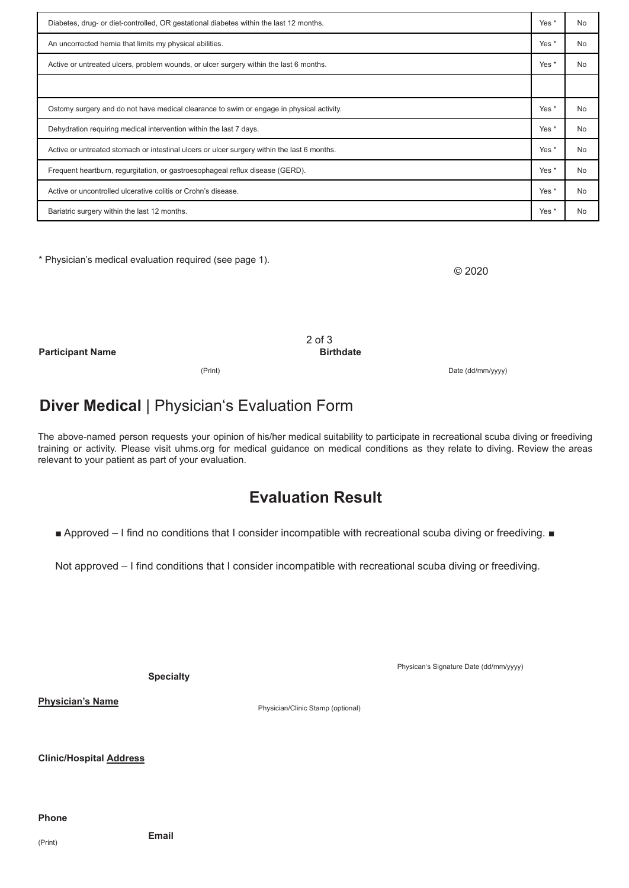| Diabetes, drug- or diet-controlled, OR gestational diabetes within the last 12 months.      |                  | <b>No</b> |
|---------------------------------------------------------------------------------------------|------------------|-----------|
| An uncorrected hernia that limits my physical abilities.                                    |                  | <b>No</b> |
| Active or untreated ulcers, problem wounds, or ulcer surgery within the last 6 months.      | Yes *            | <b>No</b> |
|                                                                                             |                  |           |
| Ostomy surgery and do not have medical clearance to swim or engage in physical activity.    | Yes <sup>*</sup> | <b>No</b> |
| Dehydration requiring medical intervention within the last 7 days.                          | Yes <sup>*</sup> | <b>No</b> |
| Active or untreated stomach or intestinal ulcers or ulcer surgery within the last 6 months. | Yes <sup>*</sup> | <b>No</b> |
| Frequent heartburn, regurgitation, or gastroesophageal reflux disease (GERD).               | Yes *            | <b>No</b> |
| Active or uncontrolled ulcerative colitis or Crohn's disease.                               | Yes *            | <b>No</b> |
| Bariatric surgery within the last 12 months.                                                | Yes <sup>*</sup> | <b>No</b> |

\* Physician's medical evaluation required (see page 1).

© 2020

Date (dd/mm/yyyy)

**Participant Name**

2 of 3 **Birthdate**

(Print)

# **Diver Medical** | Physician's Evaluation Form

The above-named person requests your opinion of his/her medical suitability to participate in recreational scuba diving or freediving training or activity. Please visit uhms.org for medical guidance on medical conditions as they relate to diving. Review the areas relevant to your patient as part of your evaluation.

## **Evaluation Result**

■ Approved – I find no conditions that I consider incompatible with recreational scuba diving or freediving. ■

Not approved – I find conditions that I consider incompatible with recreational scuba diving or freediving.

**Specialty**

Physican's Signature Date (dd/mm/yyyy)

**Physician's Name**

Physician/Clinic Stamp (optional)

**Clinic/Hospital Address**

#### **Phone**

(Print)